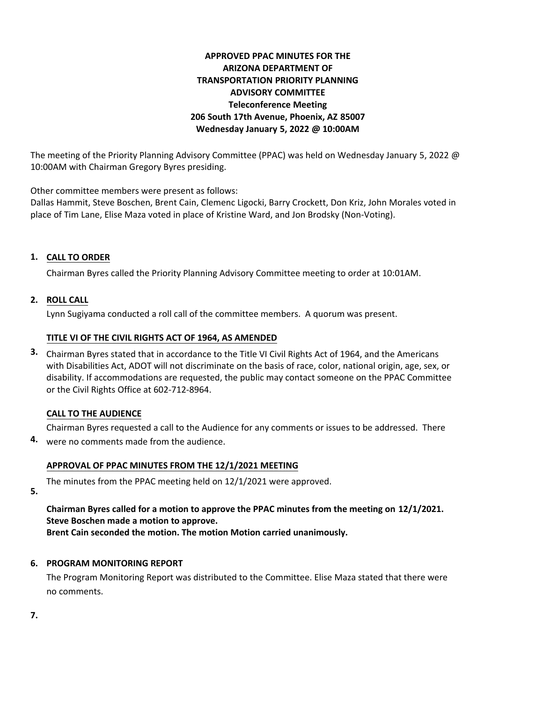# **APPROVED PPAC MINUTES FOR THE ARIZONA DEPARTMENT OF TRANSPORTATION PRIORITY PLANNING ADVISORY COMMITTEE Teleconference Meeting 206 South 17th Avenue, Phoenix, AZ 85007 Wednesday January 5, 2022 @ 10:00AM**

The meeting of the Priority Planning Advisory Committee (PPAC) was held on Wednesday January 5, 2022 @ 10:00AM with Chairman Gregory Byres presiding.

Other committee members were present as follows:

Dallas Hammit, Steve Boschen, Brent Cain, Clemenc Ligocki, Barry Crockett, Don Kriz, John Morales voted in place of Tim Lane, Elise Maza voted in place of Kristine Ward, and Jon Brodsky (Non-Voting).

## **CALL TO ORDER 1.**

Chairman Byres called the Priority Planning Advisory Committee meeting to order at 10:01AM.

#### **ROLL CALL 2.**

Lynn Sugiyama conducted a roll call of the committee members. A quorum was present.

#### **TITLE VI OF THE CIVIL RIGHTS ACT OF 1964, AS AMENDED**

Chairman Byres stated that in accordance to the Title VI Civil Rights Act of 1964, and the Americans **3.** with Disabilities Act, ADOT will not discriminate on the basis of race, color, national origin, age, sex, or disability. If accommodations are requested, the public may contact someone on the PPAC Committee or the Civil Rights Office at 602-712-8964.

## **CALL TO THE AUDIENCE**

Chairman Byres requested a call to the Audience for any comments or issues to be addressed. There

were no comments made from the audience. **4.**

## **APPROVAL OF PPAC MINUTES FROM THE 12/1/2021 MEETING**

The minutes from the PPAC meeting held on 12/1/2021 were approved.

**5.**

**Chairman Byres called for a motion to approve the PPAC minutes from the meeting on 12/1/2021. Steve Boschen made a motion to approve.**

**Brent Cain seconded the motion. The motion Motion carried unanimously.**

## **6. PROGRAM MONITORING REPORT**

The Program Monitoring Report was distributed to the Committee. Elise Maza stated that there were no comments.

**7.**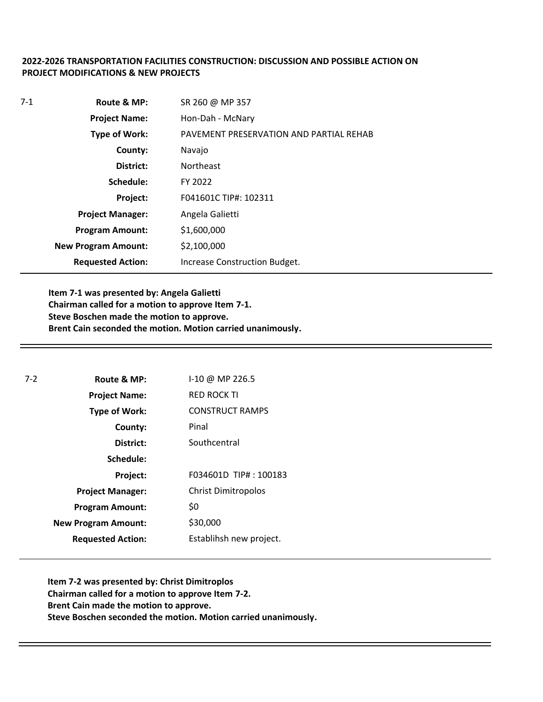#### **2022-2026 TRANSPORTATION FACILITIES CONSTRUCTION: DISCUSSION AND POSSIBLE ACTION ON PROJECT MODIFICATIONS & NEW PROJECTS**

| $7-1$ | Route & MP:                | SR 260 @ MP 357                         |
|-------|----------------------------|-----------------------------------------|
|       | <b>Project Name:</b>       | Hon-Dah - McNary                        |
|       | <b>Type of Work:</b>       | PAVEMENT PRESERVATION AND PARTIAL REHAB |
|       | County:                    | Navajo                                  |
|       | District:                  | <b>Northeast</b>                        |
|       | Schedule:                  | FY 2022                                 |
|       | Project:                   | F041601C TIP#: 102311                   |
|       | <b>Project Manager:</b>    | Angela Galietti                         |
|       | <b>Program Amount:</b>     | \$1,600,000                             |
|       | <b>New Program Amount:</b> | \$2,100,000                             |
|       | <b>Requested Action:</b>   | Increase Construction Budget.           |

**Item 7-1 was presented by: Angela Galietti Chairman called for a motion to approve Item 7-1. Steve Boschen made the motion to approve. Brent Cain seconded the motion. Motion carried unanimously.**

| $7-2$ | Route & MP:                | I-10 @ MP 226.5            |
|-------|----------------------------|----------------------------|
|       | <b>Project Name:</b>       | <b>RED ROCK TI</b>         |
|       | <b>Type of Work:</b>       | <b>CONSTRUCT RAMPS</b>     |
|       | County:                    | Pinal                      |
|       | District:                  | Southcentral               |
|       | Schedule:                  |                            |
|       | Project:                   | F034601D TIP#: 100183      |
|       | <b>Project Manager:</b>    | <b>Christ Dimitropolos</b> |
|       | <b>Program Amount:</b>     | \$0                        |
|       | <b>New Program Amount:</b> | \$30,000                   |
|       | <b>Requested Action:</b>   | Establihsh new project.    |

**Item 7-2 was presented by: Christ Dimitroplos Chairman called for a motion to approve Item 7-2. Brent Cain made the motion to approve. Steve Boschen seconded the motion. Motion carried unanimously.**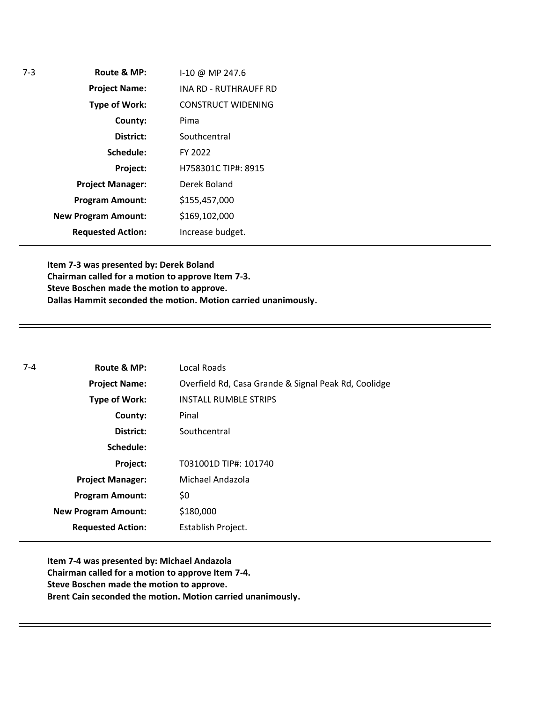| Route & MP:                | I-10 @ MP 247.6       |
|----------------------------|-----------------------|
| <b>Project Name:</b>       | INA RD - RUTHRAUFF RD |
| <b>Type of Work:</b>       | CONSTRUCT WIDENING    |
| County:                    | Pima                  |
| District:                  | Southcentral          |
| Schedule:                  | FY 2022               |
| Project:                   | H758301C TIP#: 8915   |
| <b>Project Manager:</b>    | Derek Boland          |
| <b>Program Amount:</b>     | \$155,457,000         |
| <b>New Program Amount:</b> | \$169,102,000         |
| <b>Requested Action:</b>   | Increase budget.      |

**Item 7-3 was presented by: Derek Boland Chairman called for a motion to approve Item 7-3. Steve Boschen made the motion to approve. Dallas Hammit seconded the motion. Motion carried unanimously.**

| $7 - 4$ | Route & MP:                | Local Roads                                          |
|---------|----------------------------|------------------------------------------------------|
|         | <b>Project Name:</b>       | Overfield Rd, Casa Grande & Signal Peak Rd, Coolidge |
|         | <b>Type of Work:</b>       | <b>INSTALL RUMBLE STRIPS</b>                         |
|         | County:                    | Pinal                                                |
|         | District:                  | Southcentral                                         |
|         | Schedule:                  |                                                      |
|         | Project:                   | T031001D TIP#: 101740                                |
|         | <b>Project Manager:</b>    | Michael Andazola                                     |
|         | <b>Program Amount:</b>     | \$0                                                  |
|         | <b>New Program Amount:</b> | \$180,000                                            |
|         | <b>Requested Action:</b>   | Establish Project.                                   |

**Item 7-4 was presented by: Michael Andazola Chairman called for a motion to approve Item 7-4. Steve Boschen made the motion to approve. Brent Cain seconded the motion. Motion carried unanimously.**

7-3